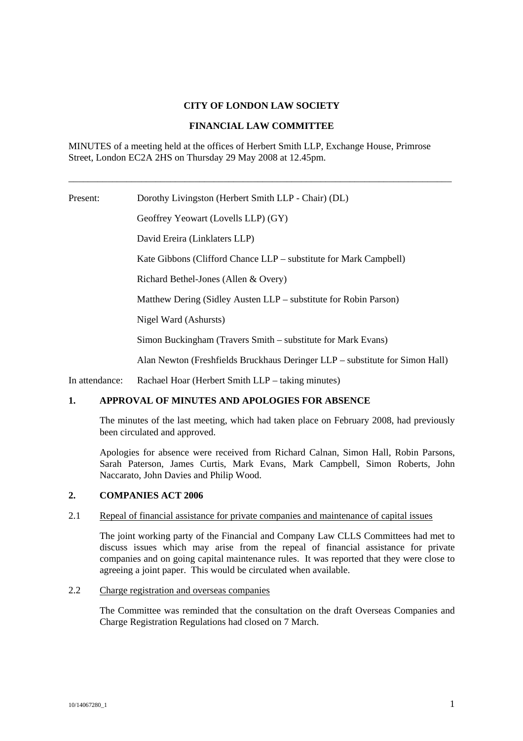### **CITY OF LONDON LAW SOCIETY**

#### **FINANCIAL LAW COMMITTEE**

\_\_\_\_\_\_\_\_\_\_\_\_\_\_\_\_\_\_\_\_\_\_\_\_\_\_\_\_\_\_\_\_\_\_\_\_\_\_\_\_\_\_\_\_\_\_\_\_\_\_\_\_\_\_\_\_\_\_\_\_\_\_\_\_\_\_\_\_\_\_\_\_\_\_\_\_\_\_\_

MINUTES of a meeting held at the offices of Herbert Smith LLP, Exchange House, Primrose Street, London EC2A 2HS on Thursday 29 May 2008 at 12.45pm.

Present: Dorothy Livingston (Herbert Smith LLP - Chair) (DL)

Geoffrey Yeowart (Lovells LLP) (GY)

David Ereira (Linklaters LLP)

Kate Gibbons (Clifford Chance LLP – substitute for Mark Campbell)

Richard Bethel-Jones (Allen & Overy)

Matthew Dering (Sidley Austen LLP – substitute for Robin Parson)

Nigel Ward (Ashursts)

Simon Buckingham (Travers Smith – substitute for Mark Evans)

Alan Newton (Freshfields Bruckhaus Deringer LLP – substitute for Simon Hall)

In attendance: Rachael Hoar (Herbert Smith LLP – taking minutes)

## **1. APPROVAL OF MINUTES AND APOLOGIES FOR ABSENCE**

The minutes of the last meeting, which had taken place on February 2008, had previously been circulated and approved.

Apologies for absence were received from Richard Calnan, Simon Hall, Robin Parsons, Sarah Paterson, James Curtis, Mark Evans, Mark Campbell, Simon Roberts, John Naccarato, John Davies and Philip Wood.

#### **2. COMPANIES ACT 2006**

#### 2.1 Repeal of financial assistance for private companies and maintenance of capital issues

The joint working party of the Financial and Company Law CLLS Committees had met to discuss issues which may arise from the repeal of financial assistance for private companies and on going capital maintenance rules. It was reported that they were close to agreeing a joint paper. This would be circulated when available.

#### 2.2 Charge registration and overseas companies

The Committee was reminded that the consultation on the draft Overseas Companies and Charge Registration Regulations had closed on 7 March.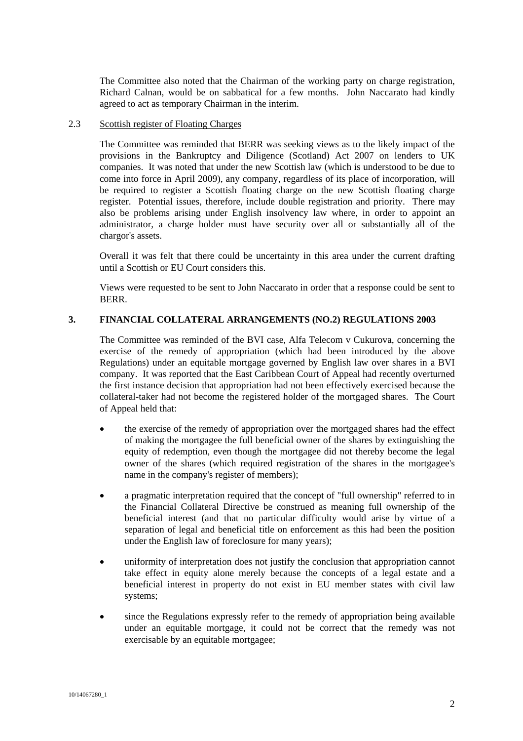The Committee also noted that the Chairman of the working party on charge registration, Richard Calnan, would be on sabbatical for a few months. John Naccarato had kindly agreed to act as temporary Chairman in the interim.

#### 2.3 Scottish register of Floating Charges

The Committee was reminded that BERR was seeking views as to the likely impact of the provisions in the Bankruptcy and Diligence (Scotland) Act 2007 on lenders to UK companies. It was noted that under the new Scottish law (which is understood to be due to come into force in April 2009), any company, regardless of its place of incorporation, will be required to register a Scottish floating charge on the new Scottish floating charge register. Potential issues, therefore, include double registration and priority. There may also be problems arising under English insolvency law where, in order to appoint an administrator, a charge holder must have security over all or substantially all of the chargor's assets.

Overall it was felt that there could be uncertainty in this area under the current drafting until a Scottish or EU Court considers this.

Views were requested to be sent to John Naccarato in order that a response could be sent to BERR.

### **3. FINANCIAL COLLATERAL ARRANGEMENTS (NO.2) REGULATIONS 2003**

The Committee was reminded of the BVI case, Alfa Telecom v Cukurova, concerning the exercise of the remedy of appropriation (which had been introduced by the above Regulations) under an equitable mortgage governed by English law over shares in a BVI company. It was reported that the East Caribbean Court of Appeal had recently overturned the first instance decision that appropriation had not been effectively exercised because the collateral-taker had not become the registered holder of the mortgaged shares. The Court of Appeal held that:

- the exercise of the remedy of appropriation over the mortgaged shares had the effect of making the mortgagee the full beneficial owner of the shares by extinguishing the equity of redemption, even though the mortgagee did not thereby become the legal owner of the shares (which required registration of the shares in the mortgagee's name in the company's register of members);
- a pragmatic interpretation required that the concept of "full ownership" referred to in the Financial Collateral Directive be construed as meaning full ownership of the beneficial interest (and that no particular difficulty would arise by virtue of a separation of legal and beneficial title on enforcement as this had been the position under the English law of foreclosure for many years);
- uniformity of interpretation does not justify the conclusion that appropriation cannot take effect in equity alone merely because the concepts of a legal estate and a beneficial interest in property do not exist in EU member states with civil law systems;
- since the Regulations expressly refer to the remedy of appropriation being available under an equitable mortgage, it could not be correct that the remedy was not exercisable by an equitable mortgagee;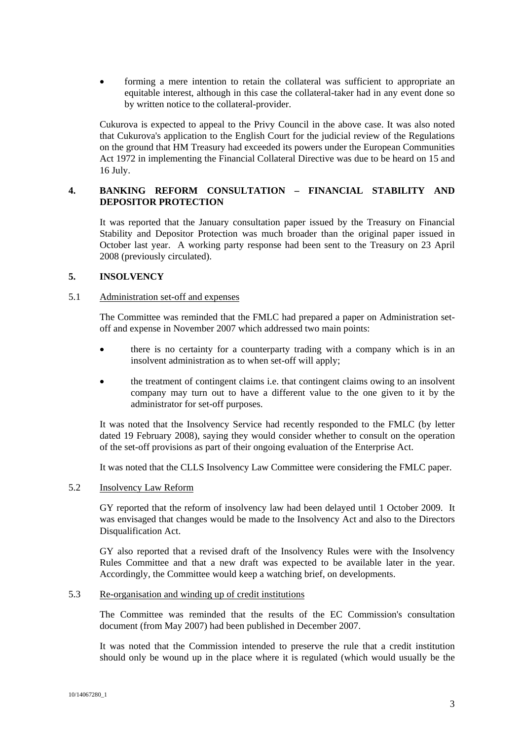• forming a mere intention to retain the collateral was sufficient to appropriate an equitable interest, although in this case the collateral-taker had in any event done so by written notice to the collateral-provider.

Cukurova is expected to appeal to the Privy Council in the above case. It was also noted that Cukurova's application to the English Court for the judicial review of the Regulations on the ground that HM Treasury had exceeded its powers under the European Communities Act 1972 in implementing the Financial Collateral Directive was due to be heard on 15 and 16 July.

## **4. BANKING REFORM CONSULTATION – FINANCIAL STABILITY AND DEPOSITOR PROTECTION**

It was reported that the January consultation paper issued by the Treasury on Financial Stability and Depositor Protection was much broader than the original paper issued in October last year. A working party response had been sent to the Treasury on 23 April 2008 (previously circulated).

## **5. INSOLVENCY**

### 5.1 Administration set-off and expenses

The Committee was reminded that the FMLC had prepared a paper on Administration setoff and expense in November 2007 which addressed two main points:

- there is no certainty for a counterparty trading with a company which is in an insolvent administration as to when set-off will apply;
- the treatment of contingent claims i.e. that contingent claims owing to an insolvent company may turn out to have a different value to the one given to it by the administrator for set-off purposes.

It was noted that the Insolvency Service had recently responded to the FMLC (by letter dated 19 February 2008), saying they would consider whether to consult on the operation of the set-off provisions as part of their ongoing evaluation of the Enterprise Act.

It was noted that the CLLS Insolvency Law Committee were considering the FMLC paper.

### 5.2 Insolvency Law Reform

GY reported that the reform of insolvency law had been delayed until 1 October 2009. It was envisaged that changes would be made to the Insolvency Act and also to the Directors Disqualification Act.

GY also reported that a revised draft of the Insolvency Rules were with the Insolvency Rules Committee and that a new draft was expected to be available later in the year. Accordingly, the Committee would keep a watching brief, on developments.

#### 5.3 Re-organisation and winding up of credit institutions

The Committee was reminded that the results of the EC Commission's consultation document (from May 2007) had been published in December 2007.

It was noted that the Commission intended to preserve the rule that a credit institution should only be wound up in the place where it is regulated (which would usually be the